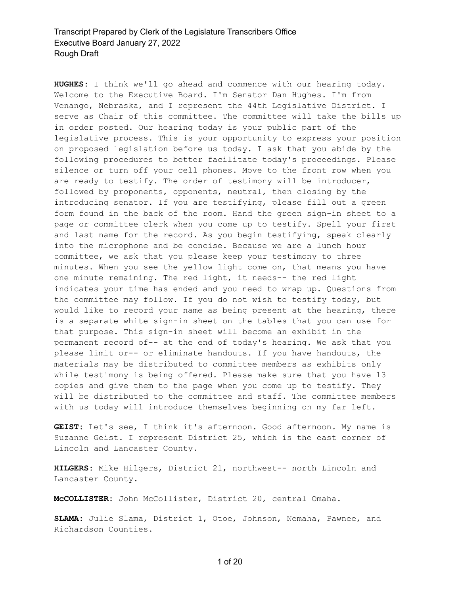**HUGHES:** I think we'll go ahead and commence with our hearing today. Welcome to the Executive Board. I'm Senator Dan Hughes. I'm from Venango, Nebraska, and I represent the 44th Legislative District. I serve as Chair of this committee. The committee will take the bills up in order posted. Our hearing today is your public part of the legislative process. This is your opportunity to express your position on proposed legislation before us today. I ask that you abide by the following procedures to better facilitate today's proceedings. Please silence or turn off your cell phones. Move to the front row when you are ready to testify. The order of testimony will be introducer, followed by proponents, opponents, neutral, then closing by the introducing senator. If you are testifying, please fill out a green form found in the back of the room. Hand the green sign-in sheet to a page or committee clerk when you come up to testify. Spell your first and last name for the record. As you begin testifying, speak clearly into the microphone and be concise. Because we are a lunch hour committee, we ask that you please keep your testimony to three minutes. When you see the yellow light come on, that means you have one minute remaining. The red light, it needs-- the red light indicates your time has ended and you need to wrap up. Questions from the committee may follow. If you do not wish to testify today, but would like to record your name as being present at the hearing, there is a separate white sign-in sheet on the tables that you can use for that purpose. This sign-in sheet will become an exhibit in the permanent record of-- at the end of today's hearing. We ask that you please limit or-- or eliminate handouts. If you have handouts, the materials may be distributed to committee members as exhibits only while testimony is being offered. Please make sure that you have 13 copies and give them to the page when you come up to testify. They will be distributed to the committee and staff. The committee members with us today will introduce themselves beginning on my far left.

**GEIST:** Let's see, I think it's afternoon. Good afternoon. My name is Suzanne Geist. I represent District 25, which is the east corner of Lincoln and Lancaster County.

**HILGERS:** Mike Hilgers, District 21, northwest-- north Lincoln and Lancaster County.

**McCOLLISTER:** John McCollister, District 20, central Omaha.

**SLAMA:** Julie Slama, District 1, Otoe, Johnson, Nemaha, Pawnee, and Richardson Counties.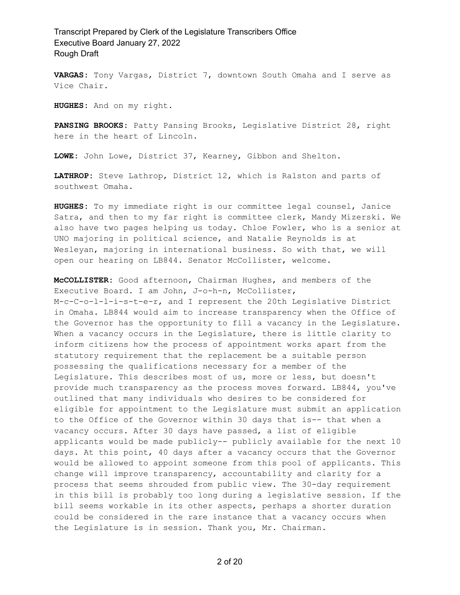**VARGAS:** Tony Vargas, District 7, downtown South Omaha and I serve as Vice Chair.

**HUGHES:** And on my right.

**PANSING BROOKS:** Patty Pansing Brooks, Legislative District 28, right here in the heart of Lincoln.

**LOWE:** John Lowe, District 37, Kearney, Gibbon and Shelton.

**LATHROP:** Steve Lathrop, District 12, which is Ralston and parts of southwest Omaha.

**HUGHES:** To my immediate right is our committee legal counsel, Janice Satra, and then to my far right is committee clerk, Mandy Mizerski. We also have two pages helping us today. Chloe Fowler, who is a senior at UNO majoring in political science, and Natalie Reynolds is at Wesleyan, majoring in international business. So with that, we will open our hearing on LB844. Senator McCollister, welcome.

**McCOLLISTER:** Good afternoon, Chairman Hughes, and members of the Executive Board. I am John, J-o-h-n, McCollister, M-c-C-o-l-l-i-s-t-e-r, and I represent the 20th Legislative District in Omaha. LB844 would aim to increase transparency when the Office of the Governor has the opportunity to fill a vacancy in the Legislature. When a vacancy occurs in the Legislature, there is little clarity to inform citizens how the process of appointment works apart from the statutory requirement that the replacement be a suitable person possessing the qualifications necessary for a member of the Legislature. This describes most of us, more or less, but doesn't provide much transparency as the process moves forward. LB844, you've outlined that many individuals who desires to be considered for eligible for appointment to the Legislature must submit an application to the Office of the Governor within 30 days that is-- that when a vacancy occurs. After 30 days have passed, a list of eligible applicants would be made publicly-- publicly available for the next 10 days. At this point, 40 days after a vacancy occurs that the Governor would be allowed to appoint someone from this pool of applicants. This change will improve transparency, accountability and clarity for a process that seems shrouded from public view. The 30-day requirement in this bill is probably too long during a legislative session. If the bill seems workable in its other aspects, perhaps a shorter duration could be considered in the rare instance that a vacancy occurs when the Legislature is in session. Thank you, Mr. Chairman.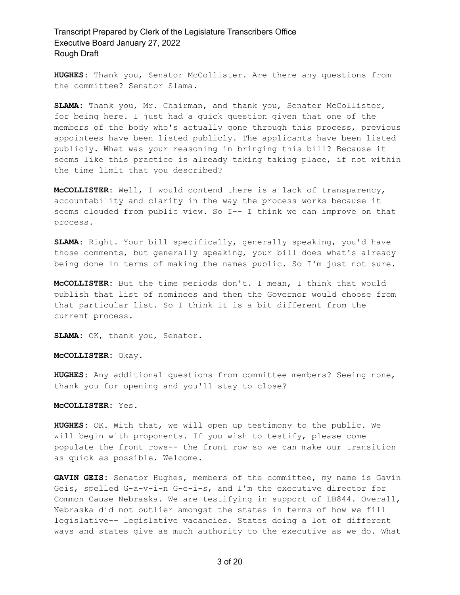**HUGHES:** Thank you, Senator McCollister. Are there any questions from the committee? Senator Slama.

**SLAMA:** Thank you, Mr. Chairman, and thank you, Senator McCollister, for being here. I just had a quick question given that one of the members of the body who's actually gone through this process, previous appointees have been listed publicly. The applicants have been listed publicly. What was your reasoning in bringing this bill? Because it seems like this practice is already taking taking place, if not within the time limit that you described?

**McCOLLISTER:** Well, I would contend there is a lack of transparency, accountability and clarity in the way the process works because it seems clouded from public view. So I-- I think we can improve on that process.

**SLAMA:** Right. Your bill specifically, generally speaking, you'd have those comments, but generally speaking, your bill does what's already being done in terms of making the names public. So I'm just not sure.

**McCOLLISTER:** But the time periods don't. I mean, I think that would publish that list of nominees and then the Governor would choose from that particular list. So I think it is a bit different from the current process.

**SLAMA:** OK, thank you, Senator.

**McCOLLISTER:** Okay.

**HUGHES:** Any additional questions from committee members? Seeing none, thank you for opening and you'll stay to close?

**McCOLLISTER:** Yes.

**HUGHES:** OK. With that, we will open up testimony to the public. We will begin with proponents. If you wish to testify, please come populate the front rows-- the front row so we can make our transition as quick as possible. Welcome.

**GAVIN GEIS:** Senator Hughes, members of the committee, my name is Gavin Geis, spelled G-a-v-i-n G-e-i-s, and I'm the executive director for Common Cause Nebraska. We are testifying in support of LB844. Overall, Nebraska did not outlier amongst the states in terms of how we fill legislative-- legislative vacancies. States doing a lot of different ways and states give as much authority to the executive as we do. What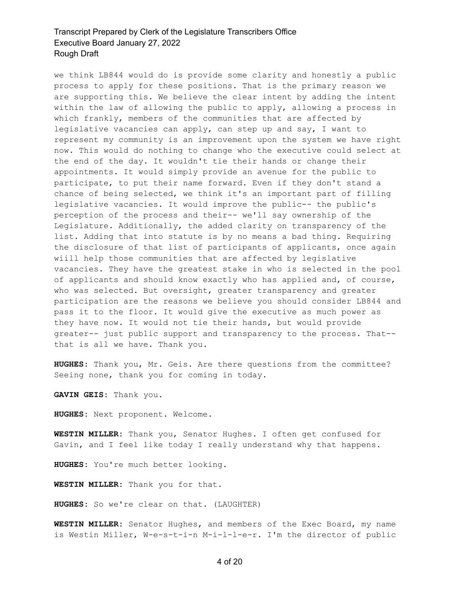we think LB844 would do is provide some clarity and honestly a public process to apply for these positions. That is the primary reason we are supporting this. We believe the clear intent by adding the intent within the law of allowing the public to apply, allowing a process in which frankly, members of the communities that are affected by legislative vacancies can apply, can step up and say, I want to represent my community is an improvement upon the system we have right now. This would do nothing to change who the executive could select at the end of the day. It wouldn't tie their hands or change their appointments. It would simply provide an avenue for the public to participate, to put their name forward. Even if they don't stand a chance of being selected, we think it's an important part of filling legislative vacancies. It would improve the public-- the public's perception of the process and their-- we'll say ownership of the Legislature. Additionally, the added clarity on transparency of the list. Adding that into statute is by no means a bad thing. Requiring the disclosure of that list of participants of applicants, once again wiill help those communities that are affected by legislative vacancies. They have the greatest stake in who is selected in the pool of applicants and should know exactly who has applied and, of course, who was selected. But oversight, greater transparency and greater participation are the reasons we believe you should consider LB844 and pass it to the floor. It would give the executive as much power as they have now. It would not tie their hands, but would provide greater-- just public support and transparency to the process. That- that is all we have. Thank you.

**HUGHES:** Thank you, Mr. Geis. Are there questions from the committee? Seeing none, thank you for coming in today.

**GAVIN GEIS:** Thank you.

**HUGHES:** Next proponent. Welcome.

**WESTIN MILLER:** Thank you, Senator Hughes. I often get confused for Gavin, and I feel like today I really understand why that happens.

**HUGHES:** You're much better looking.

**WESTIN MILLER:** Thank you for that.

**HUGHES:** So we're clear on that. (LAUGHTER)

**WESTIN MILLER:** Senator Hughes, and members of the Exec Board, my name is Westin Miller, W-e-s-t-i-n M-i-l-l-e-r. I'm the director of public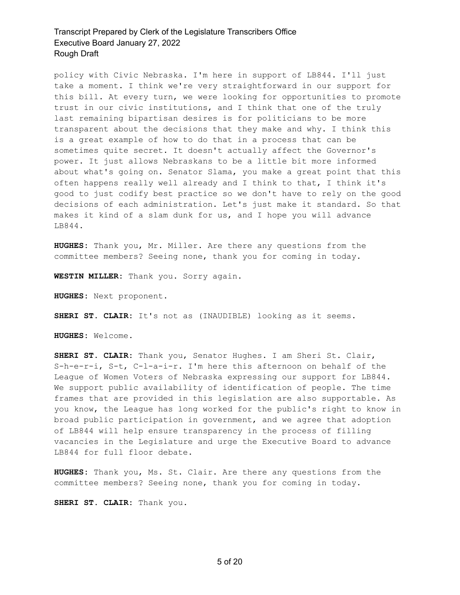policy with Civic Nebraska. I'm here in support of LB844. I'll just take a moment. I think we're very straightforward in our support for this bill. At every turn, we were looking for opportunities to promote trust in our civic institutions, and I think that one of the truly last remaining bipartisan desires is for politicians to be more transparent about the decisions that they make and why. I think this is a great example of how to do that in a process that can be sometimes quite secret. It doesn't actually affect the Governor's power. It just allows Nebraskans to be a little bit more informed about what's going on. Senator Slama, you make a great point that this often happens really well already and I think to that, I think it's good to just codify best practice so we don't have to rely on the good decisions of each administration. Let's just make it standard. So that makes it kind of a slam dunk for us, and I hope you will advance LB844.

**HUGHES:** Thank you, Mr. Miller. Are there any questions from the committee members? Seeing none, thank you for coming in today.

**WESTIN MILLER:** Thank you. Sorry again.

**HUGHES:** Next proponent.

**SHERI ST. CLAIR:** It's not as (INAUDIBLE) looking as it seems.

**HUGHES:** Welcome.

**SHERI ST. CLAIR:** Thank you, Senator Hughes. I am Sheri St. Clair, S-h-e-r-i, S-t, C-l-a-i-r. I'm here this afternoon on behalf of the League of Women Voters of Nebraska expressing our support for LB844. We support public availability of identification of people. The time frames that are provided in this legislation are also supportable. As you know, the League has long worked for the public's right to know in broad public participation in government, and we agree that adoption of LB844 will help ensure transparency in the process of filling vacancies in the Legislature and urge the Executive Board to advance LB844 for full floor debate.

**HUGHES:** Thank you, Ms. St. Clair. Are there any questions from the committee members? Seeing none, thank you for coming in today.

**SHERI ST. CLAIR:** Thank you.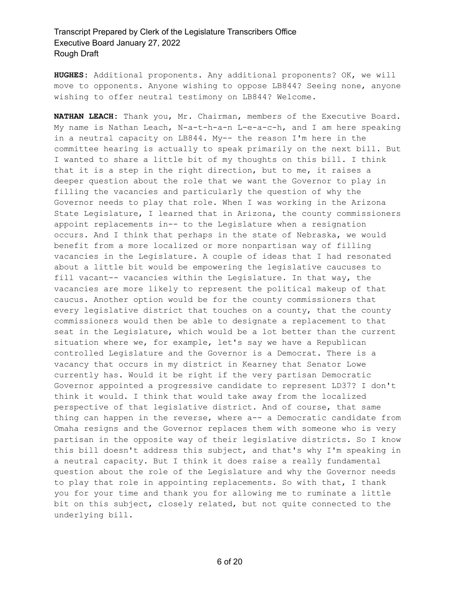**HUGHES:** Additional proponents. Any additional proponents? OK, we will move to opponents. Anyone wishing to oppose LB844? Seeing none, anyone wishing to offer neutral testimony on LB844? Welcome.

**NATHAN LEACH:** Thank you, Mr. Chairman, members of the Executive Board. My name is Nathan Leach, N-a-t-h-a-n L-e-a-c-h, and I am here speaking in a neutral capacity on LB844. My-- the reason I'm here in the committee hearing is actually to speak primarily on the next bill. But I wanted to share a little bit of my thoughts on this bill. I think that it is a step in the right direction, but to me, it raises a deeper question about the role that we want the Governor to play in filling the vacancies and particularly the question of why the Governor needs to play that role. When I was working in the Arizona State Legislature, I learned that in Arizona, the county commissioners appoint replacements in-- to the Legislature when a resignation occurs. And I think that perhaps in the state of Nebraska, we would benefit from a more localized or more nonpartisan way of filling vacancies in the Legislature. A couple of ideas that I had resonated about a little bit would be empowering the legislative caucuses to fill vacant-- vacancies within the Legislature. In that way, the vacancies are more likely to represent the political makeup of that caucus. Another option would be for the county commissioners that every legislative district that touches on a county, that the county commissioners would then be able to designate a replacement to that seat in the Legislature, which would be a lot better than the current situation where we, for example, let's say we have a Republican controlled Legislature and the Governor is a Democrat. There is a vacancy that occurs in my district in Kearney that Senator Lowe currently has. Would it be right if the very partisan Democratic Governor appointed a progressive candidate to represent LD37? I don't think it would. I think that would take away from the localized perspective of that legislative district. And of course, that same thing can happen in the reverse, where a-- a Democratic candidate from Omaha resigns and the Governor replaces them with someone who is very partisan in the opposite way of their legislative districts. So I know this bill doesn't address this subject, and that's why I'm speaking in a neutral capacity. But I think it does raise a really fundamental question about the role of the Legislature and why the Governor needs to play that role in appointing replacements. So with that, I thank you for your time and thank you for allowing me to ruminate a little bit on this subject, closely related, but not quite connected to the underlying bill.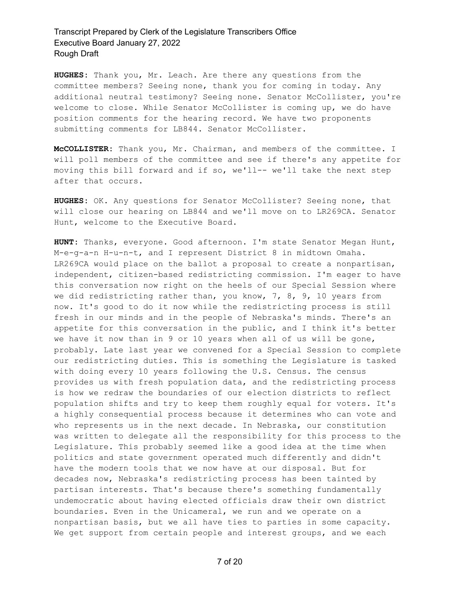**HUGHES:** Thank you, Mr. Leach. Are there any questions from the committee members? Seeing none, thank you for coming in today. Any additional neutral testimony? Seeing none. Senator McCollister, you're welcome to close. While Senator McCollister is coming up, we do have position comments for the hearing record. We have two proponents submitting comments for LB844. Senator McCollister.

**McCOLLISTER:** Thank you, Mr. Chairman, and members of the committee. I will poll members of the committee and see if there's any appetite for moving this bill forward and if so, we'll-- we'll take the next step after that occurs.

**HUGHES:** OK. Any questions for Senator McCollister? Seeing none, that will close our hearing on LB844 and we'll move on to LR269CA. Senator Hunt, welcome to the Executive Board.

**HUNT:** Thanks, everyone. Good afternoon. I'm state Senator Megan Hunt, M-e-g-a-n H-u-n-t, and I represent District 8 in midtown Omaha. LR269CA would place on the ballot a proposal to create a nonpartisan, independent, citizen-based redistricting commission. I'm eager to have this conversation now right on the heels of our Special Session where we did redistricting rather than, you know, 7, 8, 9, 10 years from now. It's good to do it now while the redistricting process is still fresh in our minds and in the people of Nebraska's minds. There's an appetite for this conversation in the public, and I think it's better we have it now than in 9 or 10 years when all of us will be gone, probably. Late last year we convened for a Special Session to complete our redistricting duties. This is something the Legislature is tasked with doing every 10 years following the U.S. Census. The census provides us with fresh population data, and the redistricting process is how we redraw the boundaries of our election districts to reflect population shifts and try to keep them roughly equal for voters. It's a highly consequential process because it determines who can vote and who represents us in the next decade. In Nebraska, our constitution was written to delegate all the responsibility for this process to the Legislature. This probably seemed like a good idea at the time when politics and state government operated much differently and didn't have the modern tools that we now have at our disposal. But for decades now, Nebraska's redistricting process has been tainted by partisan interests. That's because there's something fundamentally undemocratic about having elected officials draw their own district boundaries. Even in the Unicameral, we run and we operate on a nonpartisan basis, but we all have ties to parties in some capacity. We get support from certain people and interest groups, and we each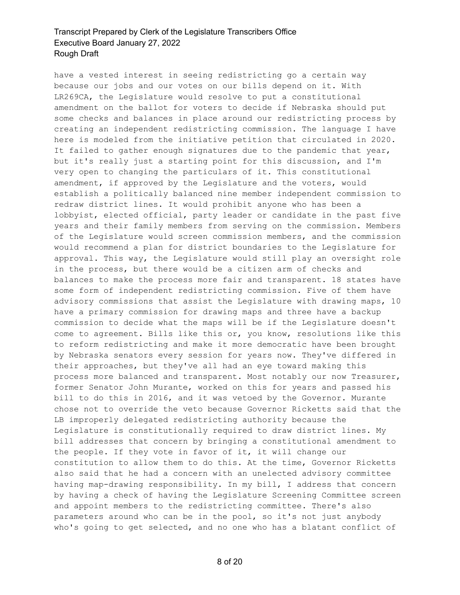have a vested interest in seeing redistricting go a certain way because our jobs and our votes on our bills depend on it. With LR269CA, the Legislature would resolve to put a constitutional amendment on the ballot for voters to decide if Nebraska should put some checks and balances in place around our redistricting process by creating an independent redistricting commission. The language I have here is modeled from the initiative petition that circulated in 2020. It failed to gather enough signatures due to the pandemic that year, but it's really just a starting point for this discussion, and I'm very open to changing the particulars of it. This constitutional amendment, if approved by the Legislature and the voters, would establish a politically balanced nine member independent commission to redraw district lines. It would prohibit anyone who has been a lobbyist, elected official, party leader or candidate in the past five years and their family members from serving on the commission. Members of the Legislature would screen commission members, and the commission would recommend a plan for district boundaries to the Legislature for approval. This way, the Legislature would still play an oversight role in the process, but there would be a citizen arm of checks and balances to make the process more fair and transparent. 18 states have some form of independent redistricting commission. Five of them have advisory commissions that assist the Legislature with drawing maps, 10 have a primary commission for drawing maps and three have a backup commission to decide what the maps will be if the Legislature doesn't come to agreement. Bills like this or, you know, resolutions like this to reform redistricting and make it more democratic have been brought by Nebraska senators every session for years now. They've differed in their approaches, but they've all had an eye toward making this process more balanced and transparent. Most notably our now Treasurer, former Senator John Murante, worked on this for years and passed his bill to do this in 2016, and it was vetoed by the Governor. Murante chose not to override the veto because Governor Ricketts said that the LB improperly delegated redistricting authority because the Legislature is constitutionally required to draw district lines. My bill addresses that concern by bringing a constitutional amendment to the people. If they vote in favor of it, it will change our constitution to allow them to do this. At the time, Governor Ricketts also said that he had a concern with an unelected advisory committee having map-drawing responsibility. In my bill, I address that concern by having a check of having the Legislature Screening Committee screen and appoint members to the redistricting committee. There's also parameters around who can be in the pool, so it's not just anybody who's going to get selected, and no one who has a blatant conflict of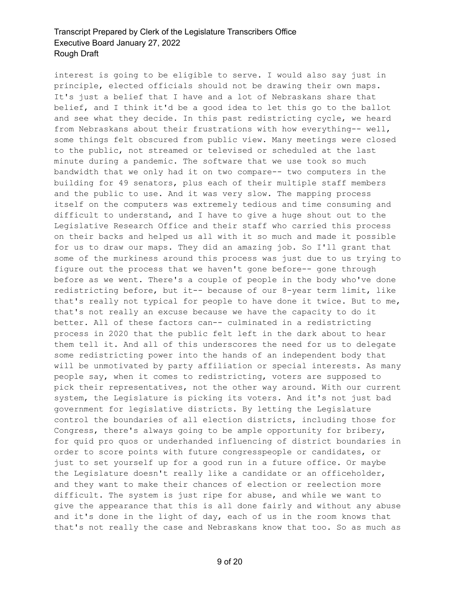interest is going to be eligible to serve. I would also say just in principle, elected officials should not be drawing their own maps. It's just a belief that I have and a lot of Nebraskans share that belief, and I think it'd be a good idea to let this go to the ballot and see what they decide. In this past redistricting cycle, we heard from Nebraskans about their frustrations with how everything-- well, some things felt obscured from public view. Many meetings were closed to the public, not streamed or televised or scheduled at the last minute during a pandemic. The software that we use took so much bandwidth that we only had it on two compare-- two computers in the building for 49 senators, plus each of their multiple staff members and the public to use. And it was very slow. The mapping process itself on the computers was extremely tedious and time consuming and difficult to understand, and I have to give a huge shout out to the Legislative Research Office and their staff who carried this process on their backs and helped us all with it so much and made it possible for us to draw our maps. They did an amazing job. So I'll grant that some of the murkiness around this process was just due to us trying to figure out the process that we haven't gone before-- gone through before as we went. There's a couple of people in the body who've done redistricting before, but it-- because of our 8-year term limit, like that's really not typical for people to have done it twice. But to me, that's not really an excuse because we have the capacity to do it better. All of these factors can-- culminated in a redistricting process in 2020 that the public felt left in the dark about to hear them tell it. And all of this underscores the need for us to delegate some redistricting power into the hands of an independent body that will be unmotivated by party affiliation or special interests. As many people say, when it comes to redistricting, voters are supposed to pick their representatives, not the other way around. With our current system, the Legislature is picking its voters. And it's not just bad government for legislative districts. By letting the Legislature control the boundaries of all election districts, including those for Congress, there's always going to be ample opportunity for bribery, for quid pro quos or underhanded influencing of district boundaries in order to score points with future congresspeople or candidates, or just to set yourself up for a good run in a future office. Or maybe the Legislature doesn't really like a candidate or an officeholder, and they want to make their chances of election or reelection more difficult. The system is just ripe for abuse, and while we want to give the appearance that this is all done fairly and without any abuse and it's done in the light of day, each of us in the room knows that that's not really the case and Nebraskans know that too. So as much as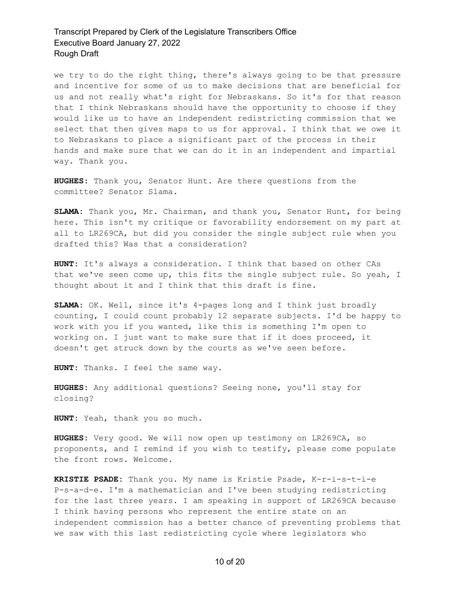we try to do the right thing, there's always going to be that pressure and incentive for some of us to make decisions that are beneficial for us and not really what's right for Nebraskans. So it's for that reason that I think Nebraskans should have the opportunity to choose if they would like us to have an independent redistricting commission that we select that then gives maps to us for approval. I think that we owe it to Nebraskans to place a significant part of the process in their hands and make sure that we can do it in an independent and impartial way. Thank you.

**HUGHES:** Thank you, Senator Hunt. Are there questions from the committee? Senator Slama.

**SLAMA:** Thank you, Mr. Chairman, and thank you, Senator Hunt, for being here. This isn't my critique or favorability endorsement on my part at all to LR269CA, but did you consider the single subject rule when you drafted this? Was that a consideration?

**HUNT:** It's always a consideration. I think that based on other CAs that we've seen come up, this fits the single subject rule. So yeah, I thought about it and I think that this draft is fine.

**SLAMA:** OK. Well, since it's 4-pages long and I think just broadly counting, I could count probably 12 separate subjects. I'd be happy to work with you if you wanted, like this is something I'm open to working on. I just want to make sure that if it does proceed, it doesn't get struck down by the courts as we've seen before.

**HUNT:** Thanks. I feel the same way.

**HUGHES:** Any additional questions? Seeing none, you'll stay for closing?

**HUNT:** Yeah, thank you so much.

**HUGHES:** Very good. We will now open up testimony on LR269CA, so proponents, and I remind if you wish to testify, please come populate the front rows. Welcome.

**KRISTIE PSADE:** Thank you. My name is Kristie Psade, K-r-i-s-t-i-e P-s-a-d-e. I'm a mathematician and I've been studying redistricting for the last three years. I am speaking in support of LR269CA because I think having persons who represent the entire state on an independent commission has a better chance of preventing problems that we saw with this last redistricting cycle where legislators who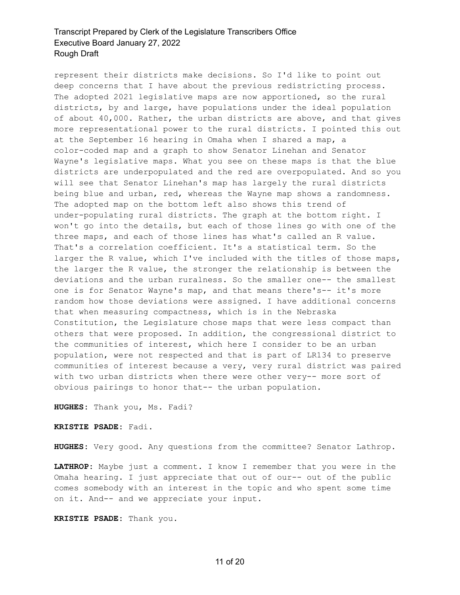represent their districts make decisions. So I'd like to point out deep concerns that I have about the previous redistricting process. The adopted 2021 legislative maps are now apportioned, so the rural districts, by and large, have populations under the ideal population of about 40,000. Rather, the urban districts are above, and that gives more representational power to the rural districts. I pointed this out at the September 16 hearing in Omaha when I shared a map, a color-coded map and a graph to show Senator Linehan and Senator Wayne's legislative maps. What you see on these maps is that the blue districts are underpopulated and the red are overpopulated. And so you will see that Senator Linehan's map has largely the rural districts being blue and urban, red, whereas the Wayne map shows a randomness. The adopted map on the bottom left also shows this trend of under-populating rural districts. The graph at the bottom right. I won't go into the details, but each of those lines go with one of the three maps, and each of those lines has what's called an R value. That's a correlation coefficient. It's a statistical term. So the larger the R value, which I've included with the titles of those maps, the larger the R value, the stronger the relationship is between the deviations and the urban ruralness. So the smaller one-- the smallest one is for Senator Wayne's map, and that means there's-- it's more random how those deviations were assigned. I have additional concerns that when measuring compactness, which is in the Nebraska Constitution, the Legislature chose maps that were less compact than others that were proposed. In addition, the congressional district to the communities of interest, which here I consider to be an urban population, were not respected and that is part of LR134 to preserve communities of interest because a very, very rural district was paired with two urban districts when there were other very-- more sort of obvious pairings to honor that-- the urban population.

**HUGHES:** Thank you, Ms. Fadi?

**KRISTIE PSADE:** Fadi.

**HUGHES:** Very good. Any questions from the committee? Senator Lathrop.

**LATHROP:** Maybe just a comment. I know I remember that you were in the Omaha hearing. I just appreciate that out of our-- out of the public comes somebody with an interest in the topic and who spent some time on it. And-- and we appreciate your input.

**KRISTIE PSADE:** Thank you.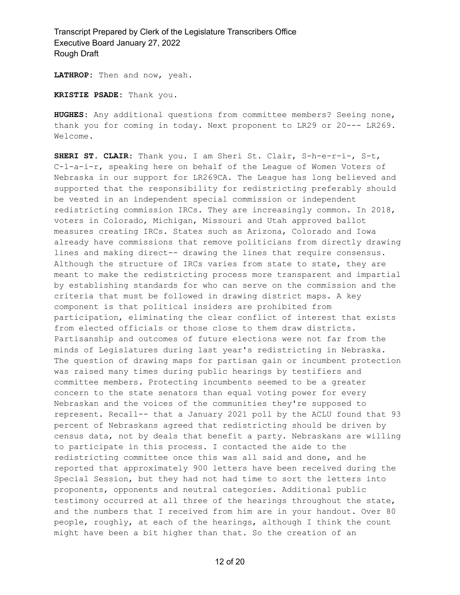**LATHROP:** Then and now, yeah.

**KRISTIE PSADE:** Thank you.

**HUGHES:** Any additional questions from committee members? Seeing none, thank you for coming in today. Next proponent to LR29 or 20--- LR269. Welcome.

**SHERI ST. CLAIR:** Thank you. I am Sheri St. Clair, S-h-e-r-i-, S-t, C-l-a-i-r, speaking here on behalf of the League of Women Voters of Nebraska in our support for LR269CA. The League has long believed and supported that the responsibility for redistricting preferably should be vested in an independent special commission or independent redistricting commission IRCs. They are increasingly common. In 2018, voters in Colorado, Michigan, Missouri and Utah approved ballot measures creating IRCs. States such as Arizona, Colorado and Iowa already have commissions that remove politicians from directly drawing lines and making direct-- drawing the lines that require consensus. Although the structure of IRCs varies from state to state, they are meant to make the redistricting process more transparent and impartial by establishing standards for who can serve on the commission and the criteria that must be followed in drawing district maps. A key component is that political insiders are prohibited from participation, eliminating the clear conflict of interest that exists from elected officials or those close to them draw districts. Partisanship and outcomes of future elections were not far from the minds of Legislatures during last year's redistricting in Nebraska. The question of drawing maps for partisan gain or incumbent protection was raised many times during public hearings by testifiers and committee members. Protecting incumbents seemed to be a greater concern to the state senators than equal voting power for every Nebraskan and the voices of the communities they're supposed to represent. Recall-- that a January 2021 poll by the ACLU found that 93 percent of Nebraskans agreed that redistricting should be driven by census data, not by deals that benefit a party. Nebraskans are willing to participate in this process. I contacted the aide to the redistricting committee once this was all said and done, and he reported that approximately 900 letters have been received during the Special Session, but they had not had time to sort the letters into proponents, opponents and neutral categories. Additional public testimony occurred at all three of the hearings throughout the state, and the numbers that I received from him are in your handout. Over 80 people, roughly, at each of the hearings, although I think the count might have been a bit higher than that. So the creation of an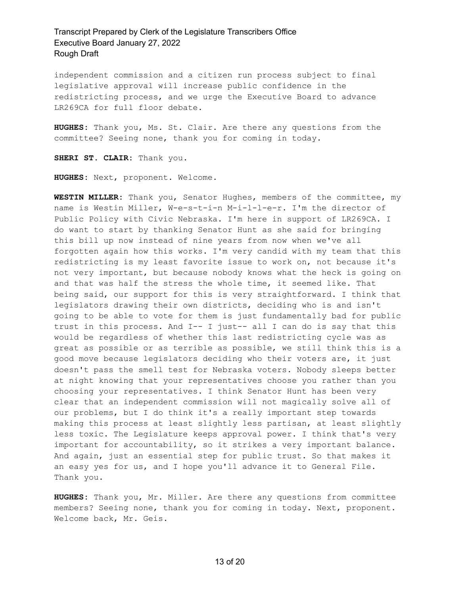independent commission and a citizen run process subject to final legislative approval will increase public confidence in the redistricting process, and we urge the Executive Board to advance LR269CA for full floor debate.

**HUGHES:** Thank you, Ms. St. Clair. Are there any questions from the committee? Seeing none, thank you for coming in today.

**SHERI ST. CLAIR:** Thank you.

**HUGHES:** Next, proponent. Welcome.

**WESTIN MILLER:** Thank you, Senator Hughes, members of the committee, my name is Westin Miller, W-e-s-t-i-n M-i-l-l-e-r. I'm the director of Public Policy with Civic Nebraska. I'm here in support of LR269CA. I do want to start by thanking Senator Hunt as she said for bringing this bill up now instead of nine years from now when we've all forgotten again how this works. I'm very candid with my team that this redistricting is my least favorite issue to work on, not because it's not very important, but because nobody knows what the heck is going on and that was half the stress the whole time, it seemed like. That being said, our support for this is very straightforward. I think that legislators drawing their own districts, deciding who is and isn't going to be able to vote for them is just fundamentally bad for public trust in this process. And I-- I just-- all I can do is say that this would be regardless of whether this last redistricting cycle was as great as possible or as terrible as possible, we still think this is a good move because legislators deciding who their voters are, it just doesn't pass the smell test for Nebraska voters. Nobody sleeps better at night knowing that your representatives choose you rather than you choosing your representatives. I think Senator Hunt has been very clear that an independent commission will not magically solve all of our problems, but I do think it's a really important step towards making this process at least slightly less partisan, at least slightly less toxic. The Legislature keeps approval power. I think that's very important for accountability, so it strikes a very important balance. And again, just an essential step for public trust. So that makes it an easy yes for us, and I hope you'll advance it to General File. Thank you.

**HUGHES:** Thank you, Mr. Miller. Are there any questions from committee members? Seeing none, thank you for coming in today. Next, proponent. Welcome back, Mr. Geis.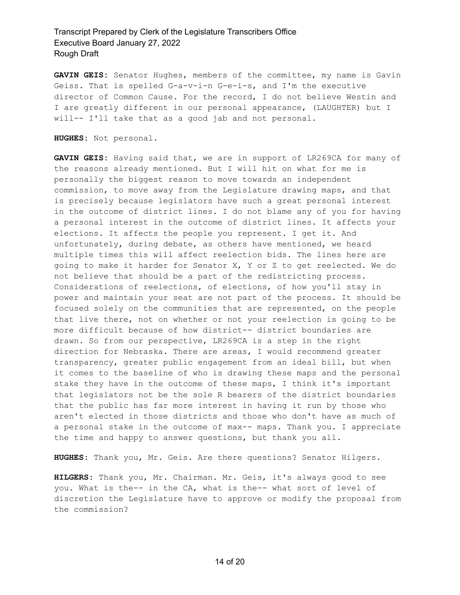**GAVIN GEIS:** Senator Hughes, members of the committee, my name is Gavin Geiss. That is spelled G-a-v-i-n G-e-i-s, and I'm the executive director of Common Cause. For the record, I do not believe Westin and I are greatly different in our personal appearance, (LAUGHTER) but I will-- I'll take that as a good jab and not personal.

**HUGHES:** Not personal.

**GAVIN GEIS:** Having said that, we are in support of LR269CA for many of the reasons already mentioned. But I will hit on what for me is personally the biggest reason to move towards an independent commission, to move away from the Legislature drawing maps, and that is precisely because legislators have such a great personal interest in the outcome of district lines. I do not blame any of you for having a personal interest in the outcome of district lines. It affects your elections. It affects the people you represent. I get it. And unfortunately, during debate, as others have mentioned, we heard multiple times this will affect reelection bids. The lines here are going to make it harder for Senator X, Y or Z to get reelected. We do not believe that should be a part of the redistricting process. Considerations of reelections, of elections, of how you'll stay in power and maintain your seat are not part of the process. It should be focused solely on the communities that are represented, on the people that live there, not on whether or not your reelection is going to be more difficult because of how district-- district boundaries are drawn. So from our perspective, LR269CA is a step in the right direction for Nebraska. There are areas, I would recommend greater transparency, greater public engagement from an ideal bill, but when it comes to the baseline of who is drawing these maps and the personal stake they have in the outcome of these maps, I think it's important that legislators not be the sole R bearers of the district boundaries that the public has far more interest in having it run by those who aren't elected in those districts and those who don't have as much of a personal stake in the outcome of max-- maps. Thank you. I appreciate the time and happy to answer questions, but thank you all.

**HUGHES:** Thank you, Mr. Geis. Are there questions? Senator Hilgers.

**HILGERS:** Thank you, Mr. Chairman. Mr. Geis, it's always good to see you. What is the-- in the CA, what is the-- what sort of level of discretion the Legislature have to approve or modify the proposal from the commission?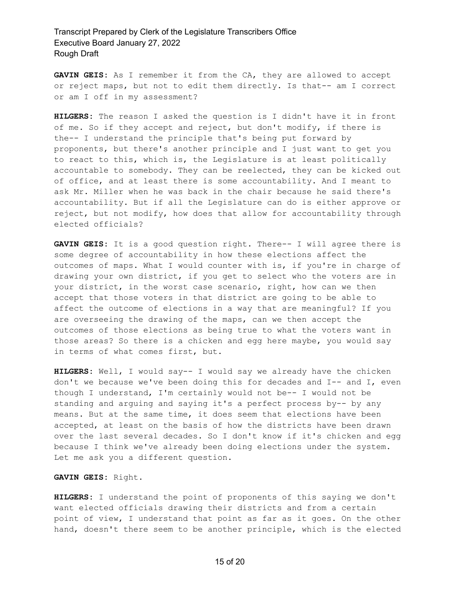**GAVIN GEIS:** As I remember it from the CA, they are allowed to accept or reject maps, but not to edit them directly. Is that-- am I correct or am I off in my assessment?

**HILGERS:** The reason I asked the question is I didn't have it in front of me. So if they accept and reject, but don't modify, if there is the-- I understand the principle that's being put forward by proponents, but there's another principle and I just want to get you to react to this, which is, the Legislature is at least politically accountable to somebody. They can be reelected, they can be kicked out of office, and at least there is some accountability. And I meant to ask Mr. Miller when he was back in the chair because he said there's accountability. But if all the Legislature can do is either approve or reject, but not modify, how does that allow for accountability through elected officials?

**GAVIN GEIS:** It is a good question right. There-- I will agree there is some degree of accountability in how these elections affect the outcomes of maps. What I would counter with is, if you're in charge of drawing your own district, if you get to select who the voters are in your district, in the worst case scenario, right, how can we then accept that those voters in that district are going to be able to affect the outcome of elections in a way that are meaningful? If you are overseeing the drawing of the maps, can we then accept the outcomes of those elections as being true to what the voters want in those areas? So there is a chicken and egg here maybe, you would say in terms of what comes first, but.

**HILGERS:** Well, I would say-- I would say we already have the chicken don't we because we've been doing this for decades and I-- and I, even though I understand, I'm certainly would not be-- I would not be standing and arguing and saying it's a perfect process by-- by any means. But at the same time, it does seem that elections have been accepted, at least on the basis of how the districts have been drawn over the last several decades. So I don't know if it's chicken and egg because I think we've already been doing elections under the system. Let me ask you a different question.

#### **GAVIN GEIS:** Right.

**HILGERS:** I understand the point of proponents of this saying we don't want elected officials drawing their districts and from a certain point of view, I understand that point as far as it goes. On the other hand, doesn't there seem to be another principle, which is the elected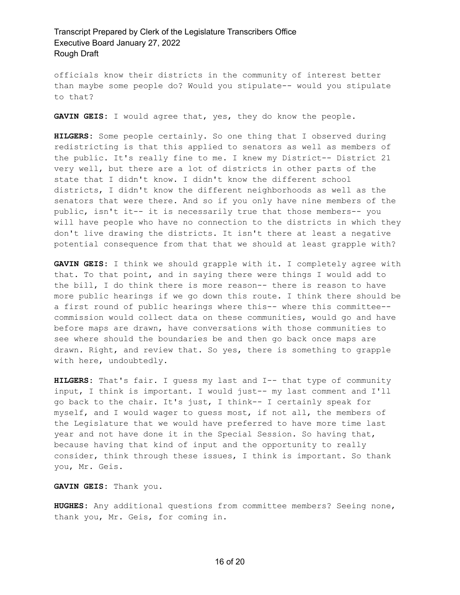officials know their districts in the community of interest better than maybe some people do? Would you stipulate-- would you stipulate to that?

**GAVIN GEIS:** I would agree that, yes, they do know the people.

**HILGERS:** Some people certainly. So one thing that I observed during redistricting is that this applied to senators as well as members of the public. It's really fine to me. I knew my District-- District 21 very well, but there are a lot of districts in other parts of the state that I didn't know. I didn't know the different school districts, I didn't know the different neighborhoods as well as the senators that were there. And so if you only have nine members of the public, isn't it-- it is necessarily true that those members-- you will have people who have no connection to the districts in which they don't live drawing the districts. It isn't there at least a negative potential consequence from that that we should at least grapple with?

**GAVIN GEIS:** I think we should grapple with it. I completely agree with that. To that point, and in saying there were things I would add to the bill, I do think there is more reason-- there is reason to have more public hearings if we go down this route. I think there should be a first round of public hearings where this-- where this committee- commission would collect data on these communities, would go and have before maps are drawn, have conversations with those communities to see where should the boundaries be and then go back once maps are drawn. Right, and review that. So yes, there is something to grapple with here, undoubtedly.

**HILGERS:** That's fair. I guess my last and I-- that type of community input, I think is important. I would just-- my last comment and I'll go back to the chair. It's just, I think-- I certainly speak for myself, and I would wager to guess most, if not all, the members of the Legislature that we would have preferred to have more time last year and not have done it in the Special Session. So having that, because having that kind of input and the opportunity to really consider, think through these issues, I think is important. So thank you, Mr. Geis.

**GAVIN GEIS:** Thank you.

**HUGHES:** Any additional questions from committee members? Seeing none, thank you, Mr. Geis, for coming in.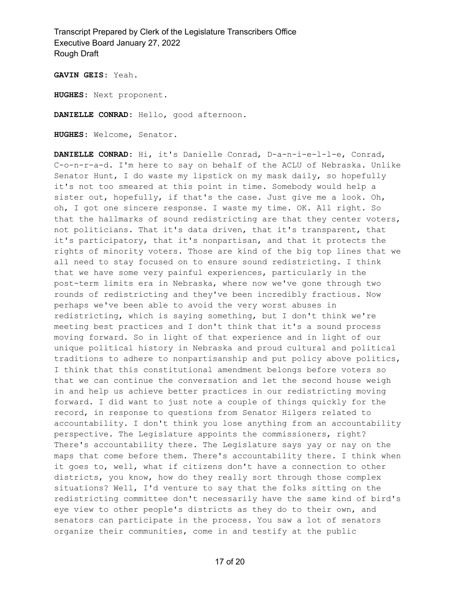**GAVIN GEIS:** Yeah.

**HUGHES:** Next proponent.

**DANIELLE CONRAD:** Hello, good afternoon.

**HUGHES:** Welcome, Senator.

**DANIELLE CONRAD:** Hi, it's Danielle Conrad, D-a-n-i-e-l-l-e, Conrad, C-o-n-r-a-d. I'm here to say on behalf of the ACLU of Nebraska. Unlike Senator Hunt, I do waste my lipstick on my mask daily, so hopefully it's not too smeared at this point in time. Somebody would help a sister out, hopefully, if that's the case. Just give me a look. Oh, oh, I got one sincere response. I waste my time. OK. All right. So that the hallmarks of sound redistricting are that they center voters, not politicians. That it's data driven, that it's transparent, that it's participatory, that it's nonpartisan, and that it protects the rights of minority voters. Those are kind of the big top lines that we all need to stay focused on to ensure sound redistricting. I think that we have some very painful experiences, particularly in the post-term limits era in Nebraska, where now we've gone through two rounds of redistricting and they've been incredibly fractious. Now perhaps we've been able to avoid the very worst abuses in redistricting, which is saying something, but I don't think we're meeting best practices and I don't think that it's a sound process moving forward. So in light of that experience and in light of our unique political history in Nebraska and proud cultural and political traditions to adhere to nonpartisanship and put policy above politics, I think that this constitutional amendment belongs before voters so that we can continue the conversation and let the second house weigh in and help us achieve better practices in our redistricting moving forward. I did want to just note a couple of things quickly for the record, in response to questions from Senator Hilgers related to accountability. I don't think you lose anything from an accountability perspective. The Legislature appoints the commissioners, right? There's accountability there. The Legislature says yay or nay on the maps that come before them. There's accountability there. I think when it goes to, well, what if citizens don't have a connection to other districts, you know, how do they really sort through those complex situations? Well, I'd venture to say that the folks sitting on the redistricting committee don't necessarily have the same kind of bird's eye view to other people's districts as they do to their own, and senators can participate in the process. You saw a lot of senators organize their communities, come in and testify at the public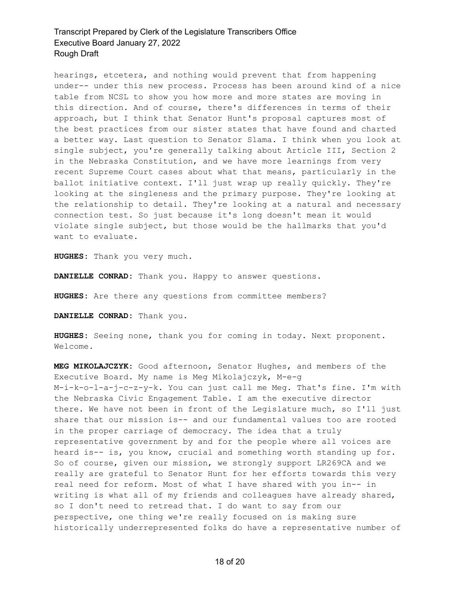hearings, etcetera, and nothing would prevent that from happening under-- under this new process. Process has been around kind of a nice table from NCSL to show you how more and more states are moving in this direction. And of course, there's differences in terms of their approach, but I think that Senator Hunt's proposal captures most of the best practices from our sister states that have found and charted a better way. Last question to Senator Slama. I think when you look at single subject, you're generally talking about Article III, Section 2 in the Nebraska Constitution, and we have more learnings from very recent Supreme Court cases about what that means, particularly in the ballot initiative context. I'll just wrap up really quickly. They're looking at the singleness and the primary purpose. They're looking at the relationship to detail. They're looking at a natural and necessary connection test. So just because it's long doesn't mean it would violate single subject, but those would be the hallmarks that you'd want to evaluate.

**HUGHES:** Thank you very much.

**DANIELLE CONRAD:** Thank you. Happy to answer questions.

**HUGHES:** Are there any questions from committee members?

**DANIELLE CONRAD:** Thank you.

**HUGHES:** Seeing none, thank you for coming in today. Next proponent. Welcome.

**MEG MIKOLAJCZYK:** Good afternoon, Senator Hughes, and members of the Executive Board. My name is Meg Mikolajczyk, M-e-g M-i-k-o-l-a-j-c-z-y-k. You can just call me Meg. That's fine. I'm with the Nebraska Civic Engagement Table. I am the executive director there. We have not been in front of the Legislature much, so I'll just share that our mission is-- and our fundamental values too are rooted in the proper carriage of democracy. The idea that a truly representative government by and for the people where all voices are heard is-- is, you know, crucial and something worth standing up for. So of course, given our mission, we strongly support LR269CA and we really are grateful to Senator Hunt for her efforts towards this very real need for reform. Most of what I have shared with you in-- in writing is what all of my friends and colleagues have already shared, so I don't need to retread that. I do want to say from our perspective, one thing we're really focused on is making sure historically underrepresented folks do have a representative number of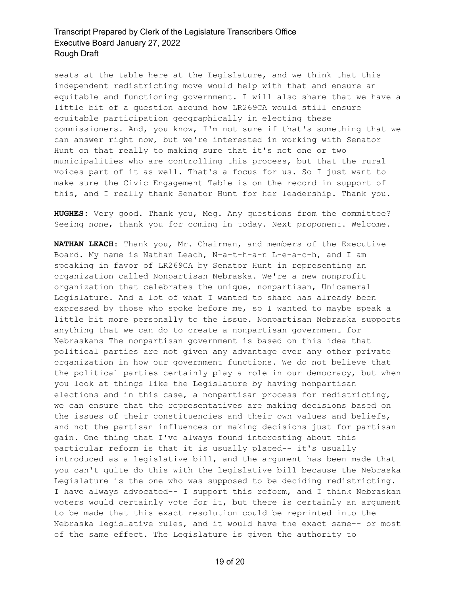seats at the table here at the Legislature, and we think that this independent redistricting move would help with that and ensure an equitable and functioning government. I will also share that we have a little bit of a question around how LR269CA would still ensure equitable participation geographically in electing these commissioners. And, you know, I'm not sure if that's something that we can answer right now, but we're interested in working with Senator Hunt on that really to making sure that it's not one or two municipalities who are controlling this process, but that the rural voices part of it as well. That's a focus for us. So I just want to make sure the Civic Engagement Table is on the record in support of this, and I really thank Senator Hunt for her leadership. Thank you.

**HUGHES:** Very good. Thank you, Meg. Any questions from the committee? Seeing none, thank you for coming in today. Next proponent. Welcome.

**NATHAN LEACH:** Thank you, Mr. Chairman, and members of the Executive Board. My name is Nathan Leach, N-a-t-h-a-n L-e-a-c-h, and I am speaking in favor of LR269CA by Senator Hunt in representing an organization called Nonpartisan Nebraska. We're a new nonprofit organization that celebrates the unique, nonpartisan, Unicameral Legislature. And a lot of what I wanted to share has already been expressed by those who spoke before me, so I wanted to maybe speak a little bit more personally to the issue. Nonpartisan Nebraska supports anything that we can do to create a nonpartisan government for Nebraskans The nonpartisan government is based on this idea that political parties are not given any advantage over any other private organization in how our government functions. We do not believe that the political parties certainly play a role in our democracy, but when you look at things like the Legislature by having nonpartisan elections and in this case, a nonpartisan process for redistricting, we can ensure that the representatives are making decisions based on the issues of their constituencies and their own values and beliefs, and not the partisan influences or making decisions just for partisan gain. One thing that I've always found interesting about this particular reform is that it is usually placed-- it's usually introduced as a legislative bill, and the argument has been made that you can't quite do this with the legislative bill because the Nebraska Legislature is the one who was supposed to be deciding redistricting. I have always advocated-- I support this reform, and I think Nebraskan voters would certainly vote for it, but there is certainly an argument to be made that this exact resolution could be reprinted into the Nebraska legislative rules, and it would have the exact same-- or most of the same effect. The Legislature is given the authority to